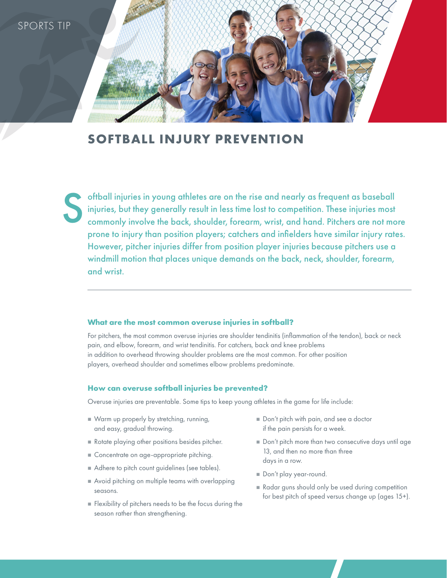

# **SOFTBALL INJURY PREVENTION**

oftball injuries in young athletes are on the rise and nearly as frequent as baseball injuries, but they generally result in less time lost to competition. These injuries most commonly involve the back, shoulder, forearm, wrist, and hand. Pitchers are not more prone to injury than position players; catchers and infielders have similar injury rates. However, pitcher injuries differ from position player injuries because pitchers use a windmill motion that places unique demands on the back, neck, shoulder, forearm, and wrist. S

#### **What are the most common overuse injuries in softball?**

For pitchers, the most common overuse injuries are shoulder tendinitis (inflammation of the tendon), back or neck pain, and elbow, forearm, and wrist tendinitis. For catchers, back and knee problems in addition to overhead throwing shoulder problems are the most common. For other position players, overhead shoulder and sometimes elbow problems predominate.

#### **How can overuse softball injuries be prevented?**

Overuse injuries are preventable. Some tips to keep young athletes in the game for life include:

- Warm up properly by stretching, running, and easy, gradual throwing.
- Rotate playing other positions besides pitcher.
- Concentrate on age-appropriate pitching.
- Adhere to pitch count guidelines (see tables).
- Avoid pitching on multiple teams with overlapping seasons.
- **Flexibility of pitchers needs to be the focus during the** season rather than strengthening.
- Don't pitch with pain, and see a doctor if the pain persists for a week.
- Don't pitch more than two consecutive days until age 13, and then no more than three days in a row.
- Don't play year-round.
- Radar guns should only be used during competition for best pitch of speed versus change up (ages 15+).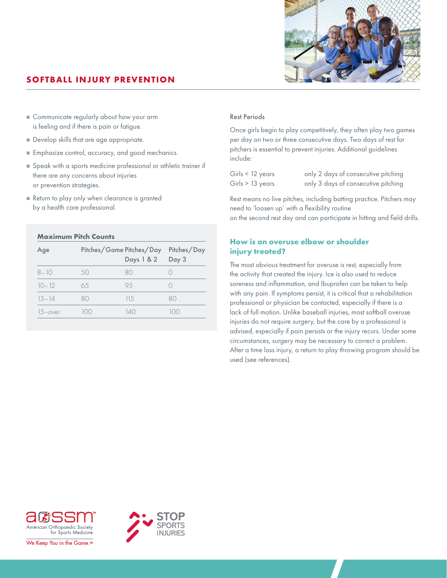

# **SOFTBALL INJURY PREVENTION**

- Communicate regularly about how your arm is feeling and if there is pain or fatigue.
- Develop skills that are age appropriate.
- Emphasize control, accuracy, and good mechanics.
- Speak with a sports medicine professional or athletic trainer if there are any concerns about injuries or prevention strategies.
- Return to play only when clearance is granted by a health care professional.

### **Maximum Pitch Counts**

| Age        |    | Pitches/Game Pitches/Day<br>Days 1 & 2 | Pitches/Day<br>Day 3 |
|------------|----|----------------------------------------|----------------------|
| $8 - 10$   | 50 | R()                                    |                      |
| $10 - 12$  | 65 | 95                                     |                      |
| $13 - 14$  | 80 | 115                                    | 80                   |
| $15$ -over |    | 14O                                    | ()()                 |

## Rest Periods

Once girls begin to play competitively, they often play two games per day on two or three consecutive days. Two days of rest for pitchers is essential to prevent injuries. Additional guidelines include:

| Girls < 12 years | only 2 days of consecutive pitching |
|------------------|-------------------------------------|
| Girls > 13 years | only 3 days of consecutive pitching |

Rest means no live pitches, including batting practice. Pitchers may need to 'loosen up' with a flexibility routine on the second rest day and can participate in hitting and field drills.

# **How is an overuse elbow or shoulder injury treated?**

The most obvious treatment for overuse is rest, especially from the activity that created the injury. Ice is also used to reduce soreness and inflammation, and Ibuprofen can be taken to help with any pain. If symptoms persist, it is critical that a rehabilitation professional or physician be contacted, especially if there is a lack of full motion. Unlike baseball injuries, most softball overuse injuries do not require surgery, but the care by a professional is advised, especially if pain persists or the injury recurs. Under some circumstances, surgery may be necessary to correct a problem. After a time loss injury, a return to play throwing program should be used (see references).